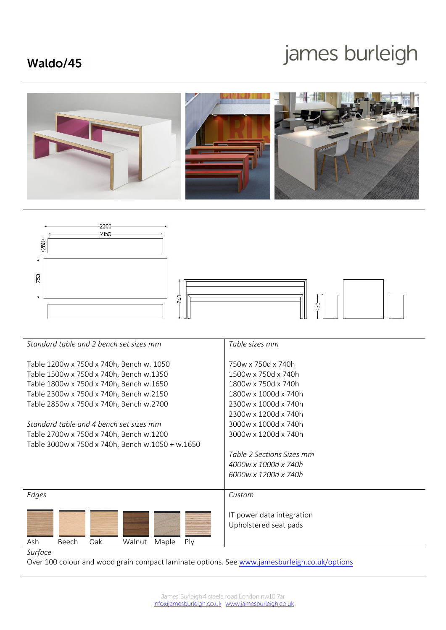## Waldo/45

## james burleigh







| Standard table and 2 bench set sizes mm                                                                                                                                   | Table sizes mm                                                                           |
|---------------------------------------------------------------------------------------------------------------------------------------------------------------------------|------------------------------------------------------------------------------------------|
| Table 1200w x 750d x 740h, Bench w. 1050<br>Table 1500w x 750d x 740h, Bench w.1350<br>Table 1800w x 750d x 740h, Bench w.1650<br>Table 2300w x 750d x 740h, Bench w.2150 | 750w x 750d x 740h<br>1500w x 750d x 740h<br>1800w x 750d x 740h<br>1800w x 1000d x 740h |
| Table 2850w x 750d x 740h, Bench w.2700                                                                                                                                   | 2300w x 1000d x 740h                                                                     |
|                                                                                                                                                                           | 2300w x 1200d x 740h                                                                     |
| Standard table and 4 bench set sizes mm                                                                                                                                   | 3000w x 1000d x 740h                                                                     |
| Table 2700w x 750d x 740h, Bench w.1200                                                                                                                                   | 3000w x 1200d x 740h                                                                     |
| Table 3000w x 750d x 740h, Bench w.1050 + w.1650                                                                                                                          |                                                                                          |
|                                                                                                                                                                           | Table 2 Sections Sizes mm                                                                |
|                                                                                                                                                                           | 4000w x 1000d x 740h                                                                     |
|                                                                                                                                                                           | 6000w x 1200d x 740h                                                                     |
|                                                                                                                                                                           |                                                                                          |
| Edges                                                                                                                                                                     | Custom                                                                                   |
| Oak<br>Ash<br>Walnut<br>Maple<br>Ply<br>Beech                                                                                                                             | IT power data integration<br>Upholstered seat pads                                       |

*Surface*

Over 100 colour and wood grain compact laminate options. Se[e www.jamesburleigh.co.uk/options](http://www.jamesburleigh.co.uk/options)